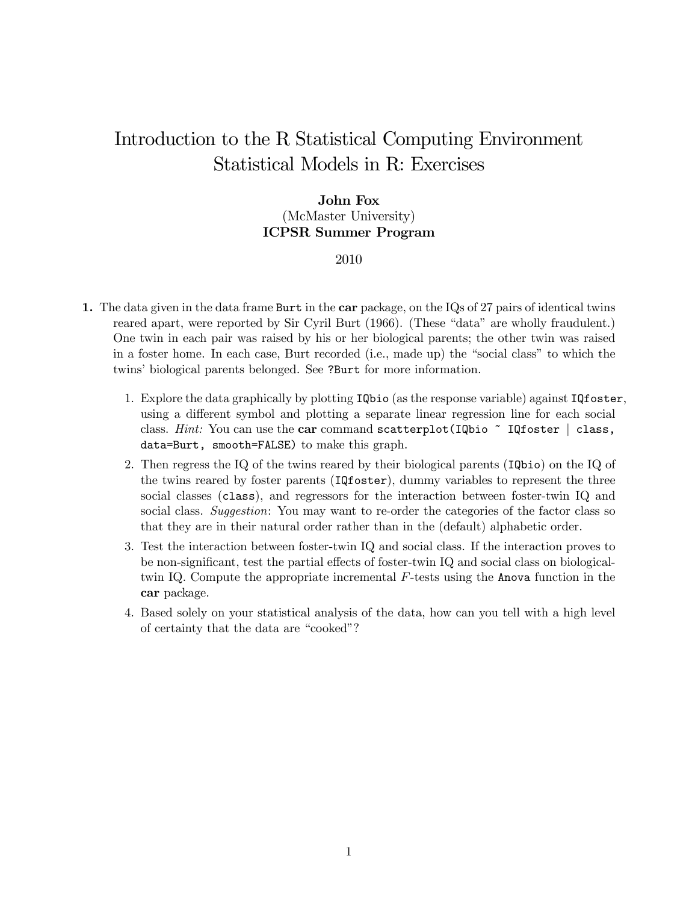## Introduction to the R Statistical Computing Environment Statistical Models in R: Exercises

## John Fox (McMaster University) ICPSR Summer Program

## 2010

- 1. The data given in the data frame Burt in the car package, on the IQs of 27 pairs of identical twins reared apart, were reported by Sir Cyril Burt (1966). (These "data" are wholly fraudulent.) One twin in each pair was raised by his or her biological parents; the other twin was raised in a foster home. In each case, Burt recorded (i.e., made up) the "social class" to which the twins' biological parents belonged. See ?Burt for more information.
	- 1. Explore the data graphically by plotting IQbio (as the response variable) against IQfoster, using a different symbol and plotting a separate linear regression line for each social class. Hint: You can use the car command scatterplot(IQbio  $\tilde{ }$  IQfoster | class, data=Burt, smooth=FALSE) to make this graph.
	- 2. Then regress the IQ of the twins reared by their biological parents (IQbio) on the IQ of the twins reared by foster parents (IQfoster), dummy variables to represent the three social classes (class), and regressors for the interaction between foster-twin IQ and social class. Suggestion: You may want to re-order the categories of the factor class so that they are in their natural order rather than in the (default) alphabetic order.
	- 3. Test the interaction between foster-twin IQ and social class. If the interaction proves to be non-significant, test the partial effects of foster-twin IQ and social class on biologicaltwin IQ. Compute the appropriate incremental  $F$ -tests using the Anova function in the car package.
	- 4. Based solely on your statistical analysis of the data, how can you tell with a high level of certainty that the data are "cooked"?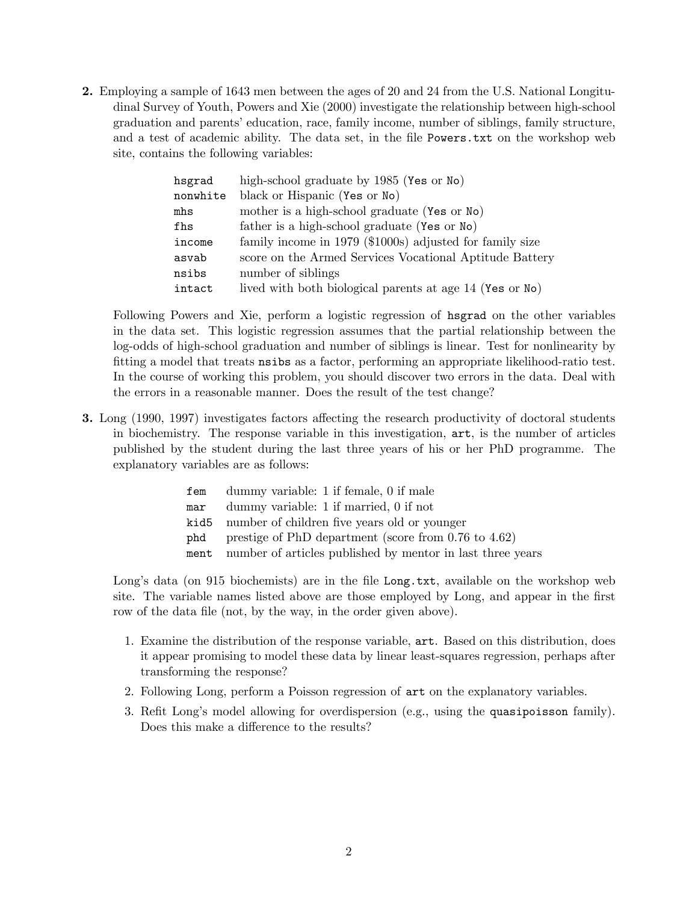2. Employing a sample of 1643 men between the ages of 20 and 24 from the U.S. National Longitudinal Survey of Youth, Powers and Xie (2000) investigate the relationship between high-school graduation and parents' education, race, family income, number of siblings, family structure, and a test of academic ability. The data set, in the file Powers.txt on the workshop web site, contains the following variables:

| hsgrad   | high-school graduate by 1985 (Yes or No)                 |
|----------|----------------------------------------------------------|
| nonwhite | black or Hispanic (Yes or No)                            |
| mhs      | mother is a high-school graduate (Yes or No)             |
| fhs      | father is a high-school graduate (Yes or No)             |
| income   | family income in 1979 (\$1000s) adjusted for family size |
| asvab    | score on the Armed Services Vocational Aptitude Battery  |
| nsibs    | number of siblings                                       |
| intact   | lived with both biological parents at age 14 (Yes or No) |

Following Powers and Xie, perform a logistic regression of hsgrad on the other variables in the data set. This logistic regression assumes that the partial relationship between the log-odds of high-school graduation and number of siblings is linear. Test for nonlinearity by fitting a model that treats nsibs as a factor, performing an appropriate likelihood-ratio test. In the course of working this problem, you should discover two errors in the data. Deal with the errors in a reasonable manner. Does the result of the test change?

3. Long (1990, 1997) investigates factors affecting the research productivity of doctoral students in biochemistry. The response variable in this investigation, art, is the number of articles published by the student during the last three years of his or her PhD programme. The explanatory variables are as follows:

| fem  | dummy variable: 1 if female, 0 if male                     |
|------|------------------------------------------------------------|
| mar  | dummy variable: 1 if married, 0 if not                     |
| kid5 | number of children five years old or younger               |
| phd  | prestige of PhD department (score from $0.76$ to $4.62$ )  |
| ment | number of articles published by mentor in last three years |

Long's data (on 915 biochemists) are in the file Long.txt, available on the workshop web site. The variable names listed above are those employed by Long, and appear in the first row of the data file (not, by the way, in the order given above).

- 1. Examine the distribution of the response variable, art. Based on this distribution, does it appear promising to model these data by linear least-squares regression, perhaps after transforming the response?
- 2. Following Long, perform a Poisson regression of art on the explanatory variables.
- 3. Refit Long's model allowing for overdispersion (e.g., using the quasipoisson family). Does this make a difference to the results?